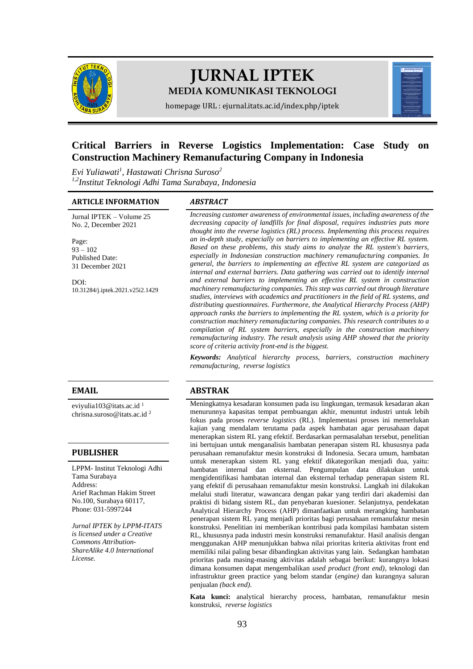

# **JURNAL IPTEK MEDIA KOMUNIKASI TEKNOLOGI**

homepage URL : ejurnal.itats.ac.id/index.php/iptek

# **Critical Barriers in Reverse Logistics Implementation: Case Study on Construction Machinery Remanufacturing Company in Indonesia**

*Evi Yuliawati<sup>1</sup> , Hastawati Chrisna Suroso<sup>2</sup> 1,2Institut Teknologi Adhi Tama Surabaya, Indonesia*

#### **ARTICLE INFORMATION** *ABSTRACT*

Jurnal IPTEK – Volume 25 No. 2, December 2021

Page:  $93 - 102$ Published Date: 31 December 2021

DOI: [10.31284/j.iptek.2021.v25i2.1429](https://doi.org/10.31284/j.iptek.2021.v25i2.1429)

evivulia103@itats.ac.id<sup>1</sup> [chrisna.suroso@itats.ac.id](mailto:chrisna.suroso@itats.ac.id) <sup>2</sup>

#### **PUBLISHER**

LPPM- Institut Teknologi Adhi Tama Surabaya Address: Arief Rachman Hakim Street No.100, Surabaya 60117, Phone: 031-5997244

*Jurnal IPTEK by LPPM-ITATS is licensed under a Creative Commons Attribution-ShareAlike 4.0 International License.*

*Increasing customer awareness of environmental issues, including awareness of the decreasing capacity of landfills for final disposal, requires industries puts more thought into the reverse logistics (RL) process. Implementing this process requires an in-depth study, especially on barriers to implementing an effective RL system. Based on these problems, this study aims to analyze the RL system's barriers, especially in Indonesian construction machinery remanufacturing companies. In general, the barriers to implementing an effective RL system are categorized as internal and external barriers. Data gathering was carried out to identify internal and external barriers to implementing an effective RL system in construction machinery remanufacturing companies. This step was carried out through literature studies, interviews with academics and practitioners in the field of RL systems, and distributing questionnaires. Furthermore, the Analytical Hierarchy Process (AHP) approach ranks the barriers to implementing the RL system, which is a priority for construction machinery remanufacturing companies. This research contributes to a compilation of RL system barriers, especially in the construction machinery remanufacturing industry. The result analysis using AHP showed that the priority score of criteria activity front-end is the biggest.*

*Keywords: Analytical hierarchy process, barriers, construction machinery remanufacturing, reverse logistics*

## **EMAIL ABSTRAK**

Meningkatnya kesadaran konsumen pada isu lingkungan, termasuk kesadaran akan menurunnya kapasitas tempat pembuangan akhir, menuntut industri untuk lebih fokus pada proses *reverse logistics* (RL). Implementasi proses ini memerlukan kajian yang mendalam terutama pada aspek hambatan agar perusahaan dapat menerapkan sistem RL yang efektif. Berdasarkan permasalahan tersebut, penelitian ini bertujuan untuk menganalisis hambatan penerapan sistem RL khususnya pada perusahaan remanufaktur mesin konstruksi di Indonesia. Secara umum, hambatan untuk menerapkan sistem RL yang efektif dikategorikan menjadi dua, yaitu: hambatan internal dan eksternal. Pengumpulan data dilakukan untuk mengidentifikasi hambatan internal dan eksternal terhadap penerapan sistem RL yang efektif di perusahaan remanufaktur mesin konstruksi. Langkah ini dilakukan melalui studi literatur, wawancara dengan pakar yang terdiri dari akademisi dan praktisi di bidang sistem RL, dan penyebaran kuesioner. Selanjutnya, pendekatan Analytical Hierarchy Process (AHP) dimanfaatkan untuk merangking hambatan penerapan sistem RL yang menjadi prioritas bagi perusahaan remanufaktur mesin konstruksi. Penelitian ini memberikan kontribusi pada kompilasi hambatan sistem RL, khususnya pada industri mesin konstruksi remanufaktur. Hasil analisis dengan menggunakan AHP menunjukkan bahwa nilai prioritas kriteria aktivitas front end memiliki nilai paling besar dibandingkan aktivitas yang lain. Sedangkan hambatan prioritas pada masing-masing aktivitas adalah sebagai berikut: kurangnya lokasi dimana konsumen dapat mengembalikan *used product (front end)*, teknologi dan infrastruktur green practice yang belom standar (*engine)* dan kurangnya saluran penjualan *(back end).*

**Kata kunci:** analytical hierarchy process, hambatan, remanufaktur mesin konstruksi, *reverse logistics*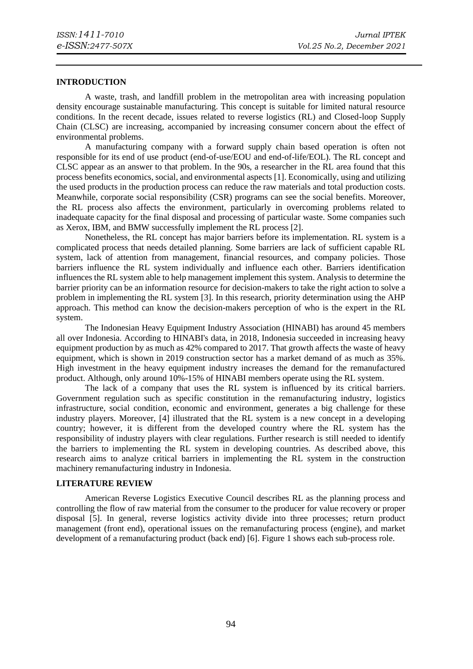#### **INTRODUCTION**

A waste, trash, and landfill problem in the metropolitan area with increasing population density encourage sustainable manufacturing. This concept is suitable for limited natural resource conditions. In the recent decade, issues related to reverse logistics (RL) and Closed-loop Supply Chain (CLSC) are increasing, accompanied by increasing consumer concern about the effect of environmental problems.

A manufacturing company with a forward supply chain based operation is often not responsible for its end of use product (end-of-use/EOU and end-of-life/EOL). The RL concept and CLSC appear as an answer to that problem. In the 90s, a researcher in the RL area found that this process benefits economics, social, and environmental aspects [1]. Economically, using and utilizing the used products in the production process can reduce the raw materials and total production costs. Meanwhile, corporate social responsibility (CSR) programs can see the social benefits. Moreover, the RL process also affects the environment, particularly in overcoming problems related to inadequate capacity for the final disposal and processing of particular waste. Some companies such as Xerox, IBM, and BMW successfully implement the RL process [2].

Nonetheless, the RL concept has major barriers before its implementation. RL system is a complicated process that needs detailed planning. Some barriers are lack of sufficient capable RL system, lack of attention from management, financial resources, and company policies. Those barriers influence the RL system individually and influence each other. Barriers identification influences the RL system able to help management implement this system. Analysis to determine the barrier priority can be an information resource for decision-makers to take the right action to solve a problem in implementing the RL system [3]. In this research, priority determination using the AHP approach. This method can know the decision-makers perception of who is the expert in the RL system.

The Indonesian Heavy Equipment Industry Association (HINABI) has around 45 members all over Indonesia. According to HINABI's data, in 2018, Indonesia succeeded in increasing heavy equipment production by as much as 42% compared to 2017. That growth affects the waste of heavy equipment, which is shown in 2019 construction sector has a market demand of as much as 35%. High investment in the heavy equipment industry increases the demand for the remanufactured product. Although, only around 10%-15% of HINABI members operate using the RL system.

The lack of a company that uses the RL system is influenced by its critical barriers. Government regulation such as specific constitution in the remanufacturing industry, logistics infrastructure, social condition, economic and environment, generates a big challenge for these industry players. Moreover, [4] illustrated that the RL system is a new concept in a developing country; however, it is different from the developed country where the RL system has the responsibility of industry players with clear regulations. Further research is still needed to identify the barriers to implementing the RL system in developing countries. As described above, this research aims to analyze critical barriers in implementing the RL system in the construction machinery remanufacturing industry in Indonesia.

#### **LITERATURE REVIEW**

American Reverse Logistics Executive Council describes RL as the planning process and controlling the flow of raw material from the consumer to the producer for value recovery or proper disposal [5]. In general, reverse logistics activity divide into three processes; return product management (front end), operational issues on the remanufacturing process (engine), and market development of a remanufacturing product (back end) [6]. Figure 1 shows each sub-process role.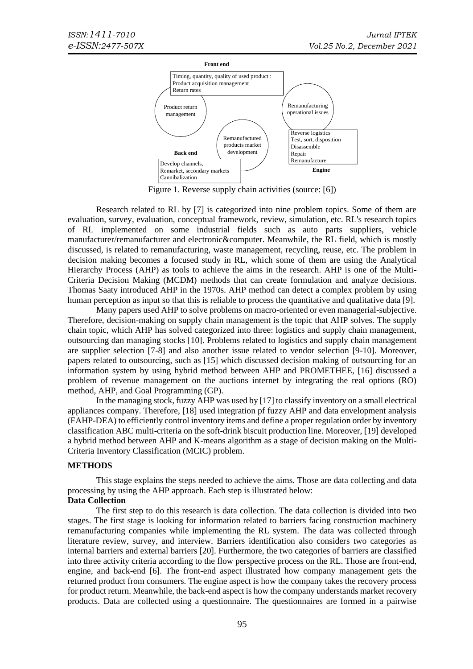

Figure 1. Reverse supply chain activities (source: [6])

Research related to RL by [7] is categorized into nine problem topics. Some of them are evaluation, survey, evaluation, conceptual framework, review, simulation, etc. RL's research topics of RL implemented on some industrial fields such as auto parts suppliers, vehicle manufacturer/remanufacturer and electronic&computer. Meanwhile, the RL field, which is mostly discussed, is related to remanufacturing, waste management, recycling, reuse, etc. The problem in decision making becomes a focused study in RL, which some of them are using the Analytical Hierarchy Process (AHP) as tools to achieve the aims in the research. AHP is one of the Multi-Criteria Decision Making (MCDM) methods that can create formulation and analyze decisions. Thomas Saaty introduced AHP in the 1970s. AHP method can detect a complex problem by using human perception as input so that this is reliable to process the quantitative and qualitative data [9].

Many papers used AHP to solve problems on macro-oriented or even managerial-subjective. Therefore, decision-making on supply chain management is the topic that AHP solves. The supply chain topic, which AHP has solved categorized into three: logistics and supply chain management, outsourcing dan managing stocks [10]. Problems related to logistics and supply chain management are supplier selection [7-8] and also another issue related to vendor selection [9-10]. Moreover, papers related to outsourcing, such as [15] which discussed decision making of outsourcing for an information system by using hybrid method between AHP and PROMETHEE, [16] discussed a problem of revenue management on the auctions internet by integrating the real options (RO) method, AHP, and Goal Programming (GP).

In the managing stock, fuzzy AHP was used by [17] to classify inventory on a small electrical appliances company. Therefore, [18] used integration pf fuzzy AHP and data envelopment analysis (FAHP-DEA) to efficiently control inventory items and define a proper regulation order by inventory classification ABC multi-criteria on the soft-drink biscuit production line. Moreover, [19] developed a hybrid method between AHP and K-means algorithm as a stage of decision making on the Multi-Criteria Inventory Classification (MCIC) problem.

# **METHODS**

This stage explains the steps needed to achieve the aims. Those are data collecting and data processing by using the AHP approach. Each step is illustrated below: **Data Collection**

The first step to do this research is data collection. The data collection is divided into two stages. The first stage is looking for information related to barriers facing construction machinery remanufacturing companies while implementing the RL system. The data was collected through literature review, survey, and interview. Barriers identification also considers two categories as internal barriers and external barriers [20]. Furthermore, the two categories of barriers are classified into three activity criteria according to the flow perspective process on the RL. Those are front-end, engine, and back-end [6]. The front-end aspect illustrated how company management gets the returned product from consumers. The engine aspect is how the company takes the recovery process for product return. Meanwhile, the back-end aspect is how the company understands market recovery products. Data are collected using a questionnaire. The questionnaires are formed in a pairwise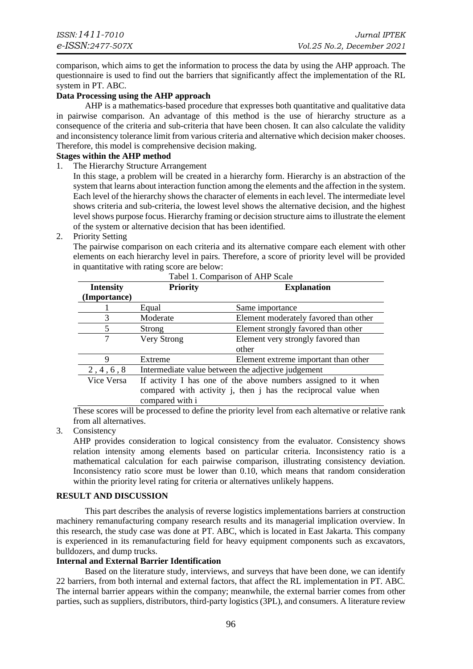comparison, which aims to get the information to process the data by using the AHP approach. The questionnaire is used to find out the barriers that significantly affect the implementation of the RL system in PT. ABC.

## **Data Processing using the AHP approach**

AHP is a mathematics-based procedure that expresses both quantitative and qualitative data in pairwise comparison. An advantage of this method is the use of hierarchy structure as a consequence of the criteria and sub-criteria that have been chosen. It can also calculate the validity and inconsistency tolerance limit from various criteria and alternative which decision maker chooses. Therefore, this model is comprehensive decision making.

## **Stages within the AHP method**

1. The Hierarchy Structure Arrangement

In this stage, a problem will be created in a hierarchy form. Hierarchy is an abstraction of the system that learns about interaction function among the elements and the affection in the system. Each level of the hierarchy shows the character of elements in each level. The intermediate level shows criteria and sub-criteria, the lowest level shows the alternative decision, and the highest level shows purpose focus. Hierarchy framing or decision structure aims to illustrate the element of the system or alternative decision that has been identified.

## 2. Priority Setting

The pairwise comparison on each criteria and its alternative compare each element with other elements on each hierarchy level in pairs. Therefore, a score of priority level will be provided in quantitative with rating score are below:

| <b>Intensity</b> | <b>Priority</b>                                                | <b>Explanation</b>                    |
|------------------|----------------------------------------------------------------|---------------------------------------|
| (Importance)     |                                                                |                                       |
|                  | Equal                                                          | Same importance                       |
| 3                | Moderate                                                       | Element moderately favored than other |
| 5                | <b>Strong</b>                                                  | Element strongly favored than other   |
| 7                | Very Strong                                                    | Element very strongly favored than    |
|                  |                                                                | other                                 |
| 9                | Extreme                                                        | Element extreme important than other  |
| 2, 4, 6, 8       | Intermediate value between the adjective judgement             |                                       |
| Vice Versa       | If activity I has one of the above numbers assigned to it when |                                       |
|                  | compared with activity j, then j has the reciprocal value when |                                       |
|                  | compared with i                                                |                                       |

These scores will be processed to define the priority level from each alternative or relative rank from all alternatives.

# 3. Consistency

AHP provides consideration to logical consistency from the evaluator. Consistency shows relation intensity among elements based on particular criteria. Inconsistency ratio is a mathematical calculation for each pairwise comparison, illustrating consistency deviation. Inconsistency ratio score must be lower than 0.10, which means that random consideration within the priority level rating for criteria or alternatives unlikely happens.

# **RESULT AND DISCUSSION**

This part describes the analysis of reverse logistics implementations barriers at construction machinery remanufacturing company research results and its managerial implication overview. In this research, the study case was done at PT. ABC, which is located in East Jakarta. This company is experienced in its remanufacturing field for heavy equipment components such as excavators, bulldozers, and dump trucks.

# **Internal and External Barrier Identification**

Based on the literature study, interviews, and surveys that have been done, we can identify 22 barriers, from both internal and external factors, that affect the RL implementation in PT. ABC. The internal barrier appears within the company; meanwhile, the external barrier comes from other parties, such as suppliers, distributors, third-party logistics (3PL), and consumers. A literature review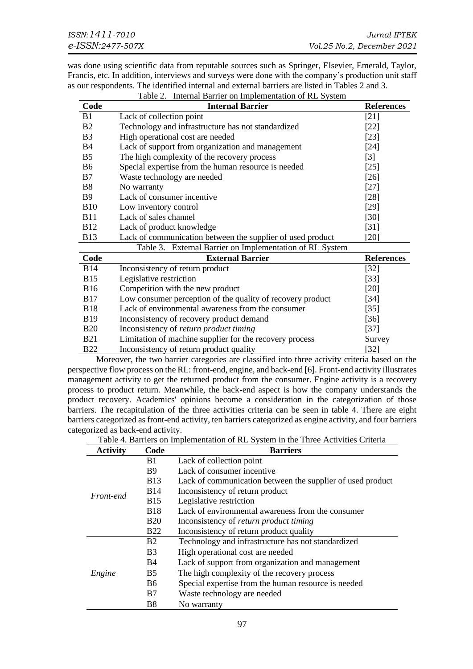was done using scientific data from reputable sources such as Springer, Elsevier, Emerald, Taylor, Francis, etc. In addition, interviews and surveys were done with the company's production unit staff as our respondents. The identified internal and external barriers are listed in Tables 2 and 3. Table 2. Internal Barrier on Implementation of RL System

|                | rabic 2. International membrementation of KE System        |                   |
|----------------|------------------------------------------------------------|-------------------|
| Code           | <b>Internal Barrier</b>                                    | <b>References</b> |
| B1             | Lack of collection point                                   | $[21]$            |
| B <sub>2</sub> | Technology and infrastructure has not standardized         | $[22]$            |
| B <sub>3</sub> | High operational cost are needed                           | $[23]$            |
| <b>B4</b>      | Lack of support from organization and management           | $[24]$            |
| B <sub>5</sub> | The high complexity of the recovery process                | $[3]$             |
| B <sub>6</sub> | Special expertise from the human resource is needed        | $[25]$            |
| B7             | Waste technology are needed                                | $[26]$            |
| B8             | No warranty                                                | $[27]$            |
| <b>B</b> 9     | Lack of consumer incentive                                 | $[28]$            |
| <b>B10</b>     | Low inventory control                                      | $[29]$            |
| <b>B11</b>     | Lack of sales channel                                      | [30]              |
| <b>B12</b>     | Lack of product knowledge                                  | $[31]$            |
| <b>B13</b>     | Lack of communication between the supplier of used product | [20]              |
|                | Table 3. External Barrier on Implementation of RL System   |                   |
| Code           | <b>External Barrier</b>                                    | <b>References</b> |
| <b>B</b> 14    | Inconsistency of return product                            | $[32]$            |
| <b>B</b> 15    | Legislative restriction                                    | $[33]$            |
| <b>B</b> 16    | Competition with the new product                           | $[20]$            |
| <b>B</b> 17    | Low consumer perception of the quality of recovery product | $[34]$            |
| <b>B18</b>     | Lack of environmental awareness from the consumer          | $\left[35\right]$ |
| <b>B</b> 19    | Inconsistency of recovery product demand                   | $[36]$            |
| <b>B20</b>     | Inconsistency of return product timing<br>$[37]$           |                   |
| <b>B21</b>     | Limitation of machine supplier for the recovery process    | Survey            |
| <b>B22</b>     | Inconsistency of return product quality                    | $[32]$            |

Moreover, the two barrier categories are classified into three activity criteria based on the perspective flow process on the RL: front-end, engine, and back-end [6]. Front-end activity illustrates management activity to get the returned product from the consumer. Engine activity is a recovery process to product return. Meanwhile, the back-end aspect is how the company understands the product recovery. Academics' opinions become a consideration in the categorization of those barriers. The recapitulation of the three activities criteria can be seen in table 4. There are eight barriers categorized as front-end activity, ten barriers categorized as engine activity, and four barriers categorized as back-end activity.

| Table 4. Barriers on Implementation of RL System in the Three Activities Criteria |  |
|-----------------------------------------------------------------------------------|--|
|-----------------------------------------------------------------------------------|--|

| <b>Activity</b> | Code                  | <b>Barriers</b>                                            |
|-----------------|-----------------------|------------------------------------------------------------|
| Front-end       | B <sub>1</sub>        | Lack of collection point                                   |
|                 | <b>B</b> 9            | Lack of consumer incentive                                 |
|                 | <b>B</b> 13           | Lack of communication between the supplier of used product |
|                 | <b>B</b> 14           | Inconsistency of return product                            |
|                 | <b>B</b> 15           | Legislative restriction                                    |
|                 | <b>B18</b>            | Lack of environmental awareness from the consumer          |
|                 | <b>B20</b>            | Inconsistency of <i>return product timing</i>              |
|                 | <b>B22</b>            | Inconsistency of return product quality                    |
| Engine          | <b>B2</b>             | Technology and infrastructure has not standardized         |
|                 | <b>B</b> <sub>3</sub> | High operational cost are needed                           |
|                 | B4                    | Lack of support from organization and management           |
|                 | B <sub>5</sub>        | The high complexity of the recovery process                |
|                 | B <sub>6</sub>        | Special expertise from the human resource is needed        |
|                 | B <sub>7</sub>        | Waste technology are needed                                |
|                 | <b>B8</b>             | No warranty                                                |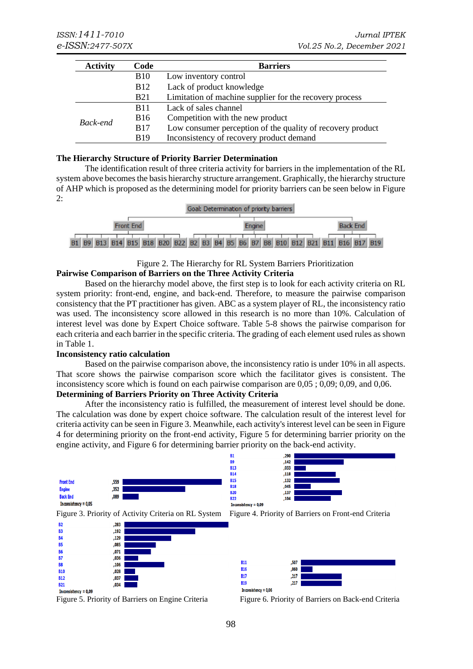| <b>Activity</b> | Code            | <b>Barriers</b>                                            |
|-----------------|-----------------|------------------------------------------------------------|
|                 | <b>B</b> 10     | Low inventory control                                      |
|                 | <b>B</b> 12     | Lack of product knowledge                                  |
|                 | <b>B21</b>      | Limitation of machine supplier for the recovery process    |
| Back-end        | <b>B</b> 11     | Lack of sales channel                                      |
|                 | B <sub>16</sub> | Competition with the new product                           |
|                 | <b>B</b> 17     | Low consumer perception of the quality of recovery product |
|                 | <b>B</b> 19     | Inconsistency of recovery product demand                   |

#### **The Hierarchy Structure of Priority Barrier Determination**

The identification result of three criteria activity for barriers in the implementation of the RL system above becomes the basis hierarchy structure arrangement. Graphically, the hierarchy structure of AHP which is proposed as the determining model for priority barriers can be seen below in Figure 2:



#### Figure 2. The Hierarchy for RL System Barriers Prioritization **Pairwise Comparison of Barriers on the Three Activity Criteria**

Based on the hierarchy model above, the first step is to look for each activity criteria on RL system priority: front-end, engine, and back-end. Therefore, to measure the pairwise comparison consistency that the PT practitioner has given. ABC as a system player of RL, the inconsistency ratio was used. The inconsistency score allowed in this research is no more than 10%. Calculation of interest level was done by Expert Choice software. Table 5-8 shows the pairwise comparison for each criteria and each barrier in the specific criteria. The grading of each element used rules as shown in Table 1.

## **Inconsistency ratio calculation**

Based on the pairwise comparison above, the inconsistency ratio is under 10% in all aspects. That score shows the pairwise comparison score which the facilitator gives is consistent. The inconsistency score which is found on each pairwise comparison are 0,05 ; 0,09; 0,09, and 0,06.

# **Determining of Barriers Priority on Three Activity Criteria**

After the inconsistency ratio is fulfilled, the measurement of interest level should be done. The calculation was done by expert choice software. The calculation result of the interest level for criteria activity can be seen in Figure 3. Meanwhile, each activity's interest level can be seen in Figure 4 for determining priority on the front-end activity, Figure 5 for determining barrier priority on the engine activity, and Figure 6 for determining barrier priority on the back-end activity.







Figure 5. Priority of Barriers on Engine Criteria Figure 6. Priority of Barriers on Back-end Criteria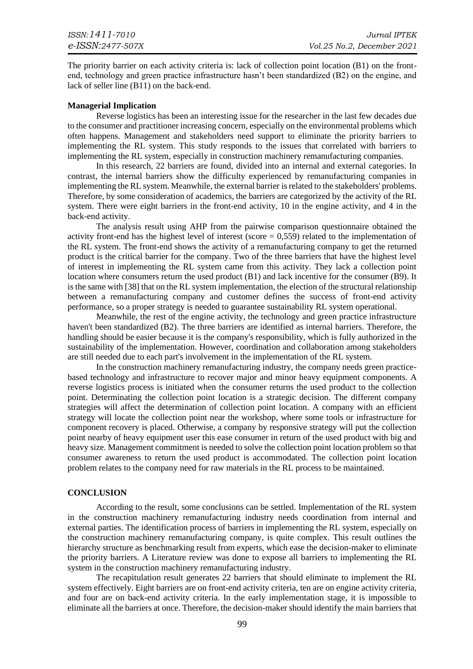The priority barrier on each activity criteria is: lack of collection point location (B1) on the frontend, technology and green practice infrastructure hasn't been standardized (B2) on the engine, and lack of seller line (B11) on the back-end.

#### **Managerial Implication**

Reverse logistics has been an interesting issue for the researcher in the last few decades due to the consumer and practitioner increasing concern, especially on the environmental problems which often happens. Management and stakeholders need support to eliminate the priority barriers to implementing the RL system. This study responds to the issues that correlated with barriers to implementing the RL system, especially in construction machinery remanufacturing companies.

In this research, 22 barriers are found, divided into an internal and external categories. In contrast, the internal barriers show the difficulty experienced by remanufacturing companies in implementing the RL system. Meanwhile, the external barrier is related to the stakeholders' problems. Therefore, by some consideration of academics, the barriers are categorized by the activity of the RL system. There were eight barriers in the front-end activity, 10 in the engine activity, and 4 in the back-end activity.

The analysis result using AHP from the pairwise comparison questionnaire obtained the activity front-end has the highest level of interest (score  $= 0.559$ ) related to the implementation of the RL system. The front-end shows the activity of a remanufacturing company to get the returned product is the critical barrier for the company. Two of the three barriers that have the highest level of interest in implementing the RL system came from this activity. They lack a collection point location where consumers return the used product (B1) and lack incentive for the consumer (B9). It is the same with [38] that on the RL system implementation, the election of the structural relationship between a remanufacturing company and customer defines the success of front-end activity performance, so a proper strategy is needed to guarantee sustainability RL system operational.

Meanwhile, the rest of the engine activity, the technology and green practice infrastructure haven't been standardized (B2). The three barriers are identified as internal barriers. Therefore, the handling should be easier because it is the company's responsibility, which is fully authorized in the sustainability of the implementation. However, coordination and collaboration among stakeholders are still needed due to each part's involvement in the implementation of the RL system.

In the construction machinery remanufacturing industry, the company needs green practicebased technology and infrastructure to recover major and minor heavy equipment components. A reverse logistics process is initiated when the consumer returns the used product to the collection point. Determinating the collection point location is a strategic decision. The different company strategies will affect the determination of collection point location. A company with an efficient strategy will locate the collection point near the workshop, where some tools or infrastructure for component recovery is placed. Otherwise, a company by responsive strategy will put the collection point nearby of heavy equipment user this ease consumer in return of the used product with big and heavy size. Management commitment is needed to solve the collection point location problem so that consumer awareness to return the used product is accommodated. The collection point location problem relates to the company need for raw materials in the RL process to be maintained.

#### **CONCLUSION**

According to the result, some conclusions can be settled. Implementation of the RL system in the construction machinery remanufacturing industry needs coordination from internal and external parties. The identification process of barriers in implementing the RL system, especially on the construction machinery remanufacturing company, is quite complex. This result outlines the hierarchy structure as benchmarking result from experts, which ease the decision-maker to eliminate the priority barriers. A Literature review was done to expose all barriers to implementing the RL system in the construction machinery remanufacturing industry.

The recapitulation result generates 22 barriers that should eliminate to implement the RL system effectively. Eight barriers are on front-end activity criteria, ten are on engine activity criteria, and four are on back-end activity criteria. In the early implementation stage, it is impossible to eliminate all the barriers at once. Therefore, the decision-maker should identify the main barriers that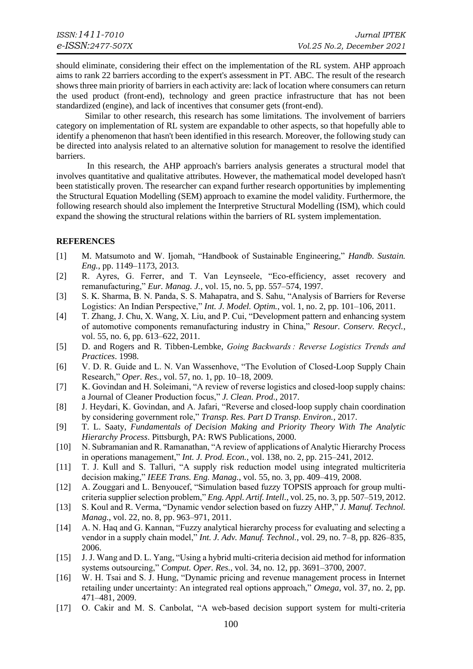should eliminate, considering their effect on the implementation of the RL system. AHP approach aims to rank 22 barriers according to the expert's assessment in PT. ABC. The result of the research shows three main priority of barriers in each activity are: lack of location where consumers can return the used product (front-end), technology and green practice infrastructure that has not been standardized (engine), and lack of incentives that consumer gets (front-end).

Similar to other research, this research has some limitations. The involvement of barriers category on implementation of RL system are expandable to other aspects, so that hopefully able to identify a phenomenon that hasn't been identified in this research. Moreover, the following study can be directed into analysis related to an alternative solution for management to resolve the identified barriers.

In this research, the AHP approach's barriers analysis generates a structural model that involves quantitative and qualitative attributes. However, the mathematical model developed hasn't been statistically proven. The researcher can expand further research opportunities by implementing the Structural Equation Modelling (SEM) approach to examine the model validity. Furthermore, the following research should also implement the Interpretive Structural Modelling (ISM), which could expand the showing the structural relations within the barriers of RL system implementation.

# **REFERENCES**

- [1] M. Matsumoto and W. Ijomah, "Handbook of Sustainable Engineering," *Handb. Sustain. Eng.*, pp. 1149–1173, 2013.
- [2] R. Ayres, G. Ferrer, and T. Van Leynseele, "Eco-efficiency, asset recovery and remanufacturing," *Eur. Manag. J.*, vol. 15, no. 5, pp. 557–574, 1997.
- [3] S. K. Sharma, B. N. Panda, S. S. Mahapatra, and S. Sahu, "Analysis of Barriers for Reverse Logistics: An Indian Perspective," *Int. J. Model. Optim.*, vol. 1, no. 2, pp. 101–106, 2011.
- [4] T. Zhang, J. Chu, X. Wang, X. Liu, and P. Cui, "Development pattern and enhancing system of automotive components remanufacturing industry in China," *Resour. Conserv. Recycl.*, vol. 55, no. 6, pp. 613–622, 2011.
- [5] D. and Rogers and R. Tibben-Lembke, *Going Backwards : Reverse Logistics Trends and Practices*. 1998.
- [6] V. D. R. Guide and L. N. Van Wassenhove, "The Evolution of Closed-Loop Supply Chain Research," *Oper. Res.*, vol. 57, no. 1, pp. 10–18, 2009.
- [7] K. Govindan and H. Soleimani, "A review of reverse logistics and closed-loop supply chains: a Journal of Cleaner Production focus," *J. Clean. Prod.*, 2017.
- [8] J. Heydari, K. Govindan, and A. Jafari, "Reverse and closed-loop supply chain coordination by considering government role," *Transp. Res. Part D Transp. Environ.*, 2017.
- [9] T. L. Saaty, *Fundamentals of Decision Making and Priority Theory With The Analytic Hierarchy Process*. Pittsburgh, PA: RWS Publications, 2000.
- [10] N. Subramanian and R. Ramanathan, "A review of applications of Analytic Hierarchy Process in operations management," *Int. J. Prod. Econ.*, vol. 138, no. 2, pp. 215–241, 2012.
- [11] T. J. Kull and S. Talluri, "A supply risk reduction model using integrated multicriteria decision making," *IEEE Trans. Eng. Manag.*, vol. 55, no. 3, pp. 409–419, 2008.
- [12] A. Zouggari and L. Benyoucef, "Simulation based fuzzy TOPSIS approach for group multicriteria supplier selection problem," *Eng. Appl. Artif. Intell.*, vol. 25, no. 3, pp. 507–519, 2012.
- [13] S. Koul and R. Verma, "Dynamic vendor selection based on fuzzy AHP," *J. Manuf. Technol. Manag.*, vol. 22, no. 8, pp. 963–971, 2011.
- [14] A. N. Haq and G. Kannan, "Fuzzy analytical hierarchy process for evaluating and selecting a vendor in a supply chain model," *Int. J. Adv. Manuf. Technol.*, vol. 29, no. 7–8, pp. 826–835, 2006.
- [15] J. J. Wang and D. L. Yang, "Using a hybrid multi-criteria decision aid method for information systems outsourcing," *Comput. Oper. Res.*, vol. 34, no. 12, pp. 3691–3700, 2007.
- [16] W. H. Tsai and S. J. Hung, "Dynamic pricing and revenue management process in Internet retailing under uncertainty: An integrated real options approach," *Omega*, vol. 37, no. 2, pp. 471–481, 2009.
- [17] O. Cakir and M. S. Canbolat, "A web-based decision support system for multi-criteria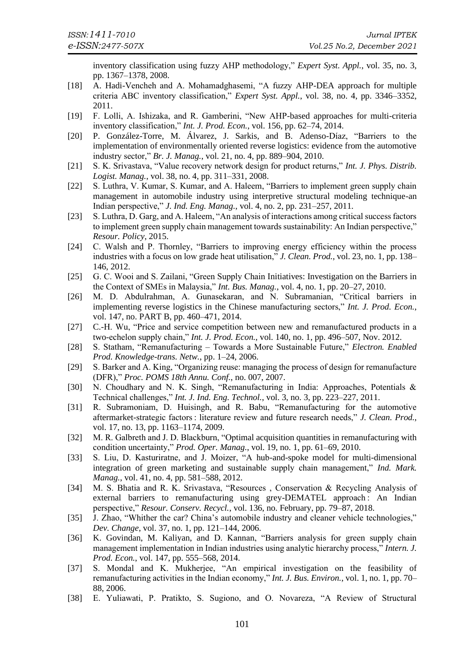inventory classification using fuzzy AHP methodology," *Expert Syst. Appl.*, vol. 35, no. 3, pp. 1367–1378, 2008.

- [18] A. Hadi-Vencheh and A. Mohamadghasemi, "A fuzzy AHP-DEA approach for multiple criteria ABC inventory classification," *Expert Syst. Appl.*, vol. 38, no. 4, pp. 3346–3352, 2011.
- [19] F. Lolli, A. Ishizaka, and R. Gamberini, "New AHP-based approaches for multi-criteria inventory classification," *Int. J. Prod. Econ.*, vol. 156, pp. 62–74, 2014.
- [20] P. González-Torre, M. Álvarez, J. Sarkis, and B. Adenso-Díaz, "Barriers to the implementation of environmentally oriented reverse logistics: evidence from the automotive industry sector," *Br. J. Manag.*, vol. 21, no. 4, pp. 889–904, 2010.
- [21] S. K. Srivastava, "Value recovery network design for product returns," *Int. J. Phys. Distrib. Logist. Manag.*, vol. 38, no. 4, pp. 311–331, 2008.
- [22] S. Luthra, V. Kumar, S. Kumar, and A. Haleem, "Barriers to implement green supply chain management in automobile industry using interpretive structural modeling technique-an Indian perspective," *J. Ind. Eng. Manag.*, vol. 4, no. 2, pp. 231–257, 2011.
- [23] S. Luthra, D. Garg, and A. Haleem, "An analysis of interactions among critical success factors to implement green supply chain management towards sustainability: An Indian perspective," *Resour. Policy*, 2015.
- [24] C. Walsh and P. Thornley, "Barriers to improving energy efficiency within the process industries with a focus on low grade heat utilisation," *J. Clean. Prod.*, vol. 23, no. 1, pp. 138– 146, 2012.
- [25] G. C. Wooi and S. Zailani, "Green Supply Chain Initiatives: Investigation on the Barriers in the Context of SMEs in Malaysia," *Int. Bus. Manag.*, vol. 4, no. 1, pp. 20–27, 2010.
- [26] M. D. Abdulrahman, A. Gunasekaran, and N. Subramanian, "Critical barriers in implementing reverse logistics in the Chinese manufacturing sectors," *Int. J. Prod. Econ.*, vol. 147, no. PART B, pp. 460–471, 2014.
- [27] C.-H. Wu, "Price and service competition between new and remanufactured products in a two-echelon supply chain," *Int. J. Prod. Econ.*, vol. 140, no. 1, pp. 496–507, Nov. 2012.
- [28] S. Statham, "Remanufacturing Towards a More Sustainable Future," *Electron. Enabled Prod. Knowledge-trans. Netw.*, pp. 1–24, 2006.
- [29] S. Barker and A. King, "Organizing reuse: managing the process of design for remanufacture (DFR)," *Proc. POMS 18th Annu. Conf.*, no. 007, 2007.
- [30] N. Choudhary and N. K. Singh, "Remanufacturing in India: Approaches, Potentials & Technical challenges," *Int. J. Ind. Eng. Technol.*, vol. 3, no. 3, pp. 223–227, 2011.
- [31] R. Subramoniam, D. Huisingh, and R. Babu, "Remanufacturing for the automotive aftermarket-strategic factors : literature review and future research needs," *J. Clean. Prod.*, vol. 17, no. 13, pp. 1163–1174, 2009.
- [32] M. R. Galbreth and J. D. Blackburn, "Optimal acquisition quantities in remanufacturing with condition uncertainty," *Prod. Oper. Manag.*, vol. 19, no. 1, pp. 61–69, 2010.
- [33] S. Liu, D. Kasturiratne, and J. Moizer, "A hub-and-spoke model for multi-dimensional integration of green marketing and sustainable supply chain management," *Ind. Mark. Manag.*, vol. 41, no. 4, pp. 581–588, 2012.
- [34] M. S. Bhatia and R. K. Srivastava, "Resources , Conservation & Recycling Analysis of external barriers to remanufacturing using grey-DEMATEL approach: An Indian perspective," *Resour. Conserv. Recycl.*, vol. 136, no. February, pp. 79–87, 2018.
- [35] J. Zhao, "Whither the car? China's automobile industry and cleaner vehicle technologies," *Dev. Change*, vol. 37, no. 1, pp. 121–144, 2006.
- [36] K. Govindan, M. Kaliyan, and D. Kannan, "Barriers analysis for green supply chain management implementation in Indian industries using analytic hierarchy process," *Intern. J. Prod. Econ.*, vol. 147, pp. 555–568, 2014.
- [37] S. Mondal and K. Mukherjee, "An empirical investigation on the feasibility of remanufacturing activities in the Indian economy," *Int. J. Bus. Environ.*, vol. 1, no. 1, pp. 70– 88, 2006.
- [38] E. Yuliawati, P. Pratikto, S. Sugiono, and O. Novareza, "A Review of Structural